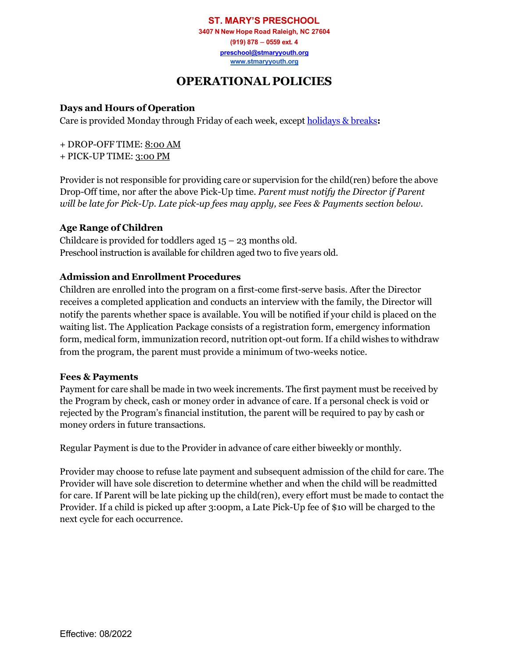**ST. MARY'S PRESCHOOL 3407 N New Hope Road Raleigh, NC 27604 (919) 878 – 0559 ext. 4 [preschool@stmaryyouth.org](mailto:preschool@stmaryyouth.org) [www.stmaryyouth.org](http://www.stmaryyouth.org/)**

# **OPERATIONAL POLICIES**

## **Days and Hours of Operation**

Care is provided Monday through Friday of each week, excep[t holidays & breaks](http://www.stmaryyouth.org/calendar)**:**

+ DROP-OFF TIME: 8:00 AM

+ PICK-UP TIME: 3:00 PM

Provider is not responsible for providing care or supervision for the child(ren) before the above Drop-Off time, nor after the above Pick-Up time. *Parent must notify the Director if Parent will be late for Pick-Up. Late pick-up fees may apply, see Fees & Payments section below.*

## **Age Range of Children**

Childcare is provided for toddlers aged  $15 - 23$  months old. Preschool instruction is available for children aged two to five years old.

## **Admission and Enrollment Procedures**

Children are enrolled into the program on a first-come first-serve basis. After the Director receives a completed application and conducts an interview with the family, the Director will notify the parents whether space is available. You will be notified if your child is placed on the waiting list. The Application Package consists of a registration form, emergency information form, medical form, immunization record, nutrition opt-out form. If a child wishes to withdraw from the program, the parent must provide a minimum of two-weeks notice.

#### **Fees & Payments**

Payment for care shall be made in two week increments. The first payment must be received by the Program by check, cash or money order in advance of care. If a personal check is void or rejected by the Program's financial institution, the parent will be required to pay by cash or money orders in future transactions.

Regular Payment is due to the Provider in advance of care either biweekly or monthly.

Provider may choose to refuse late payment and subsequent admission of the child for care. The Provider will have sole discretion to determine whether and when the child will be readmitted for care. If Parent will be late picking up the child(ren), every effort must be made to contact the Provider. If a child is picked up after 3:00pm, a Late Pick-Up fee of \$10 will be charged to the next cycle for each occurrence.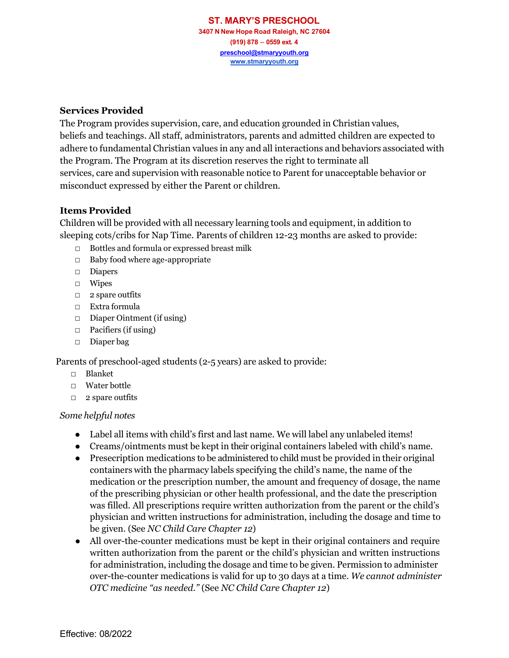### **Services Provided**

The Program provides supervision, care, and education grounded in Christian values, beliefs and teachings. All staff, administrators, parents and admitted children are expected to adhere to fundamental Christian values in any and all interactions and behaviors associated with the Program. The Program at its discretion reserves the right to terminate all services, care and supervision with reasonable notice to Parent for unacceptable behavior or misconduct expressed by either the Parent or children.

#### **Items Provided**

Children will be provided with all necessary learning tools and equipment, in addition to sleeping cots/cribs for Nap Time. Parents of children 12-23 months are asked to provide:

- □ Bottles and formula or expressed breast milk
- □ Baby food where age-appropriate
- □ Diapers
- □ Wipes
- □ 2 spare outfits
- □ Extra formula
- □ Diaper Ointment (if using)
- $\Box$  Pacifiers (if using)
- □ Diaper bag

Parents of preschool-aged students (2-5 years) are asked to provide:

- □ Blanket
- □ Water bottle
- □ 2 spare outfits

## *Some helpful notes*

- Label all items with child's first and last name. We will label any unlabeled items!
- Creams/ointments must be kept in their original containers labeled with child's name.
- Presecription medications to be administered to child must be provided in their original containers with the pharmacy labels specifying the child's name, the name of the medication or the prescription number, the amount and frequency of dosage, the name of the prescribing physician or other health professional, and the date the prescription was filled. All prescriptions require written authorization from the parent or the child's physician and written instructions for administration, including the dosage and time to be given. (See *NC Child Care Chapter 12*)
- All over-the-counter medications must be kept in their original containers and require written authorization from the parent or the child's physician and written instructions for administration, including the dosage and time to be given. Permission to administer over-the-counter medications is valid for up to 30 days at a time. *We cannot administer OTC medicine "as needed."* (See *NC Child Care Chapter 12*)